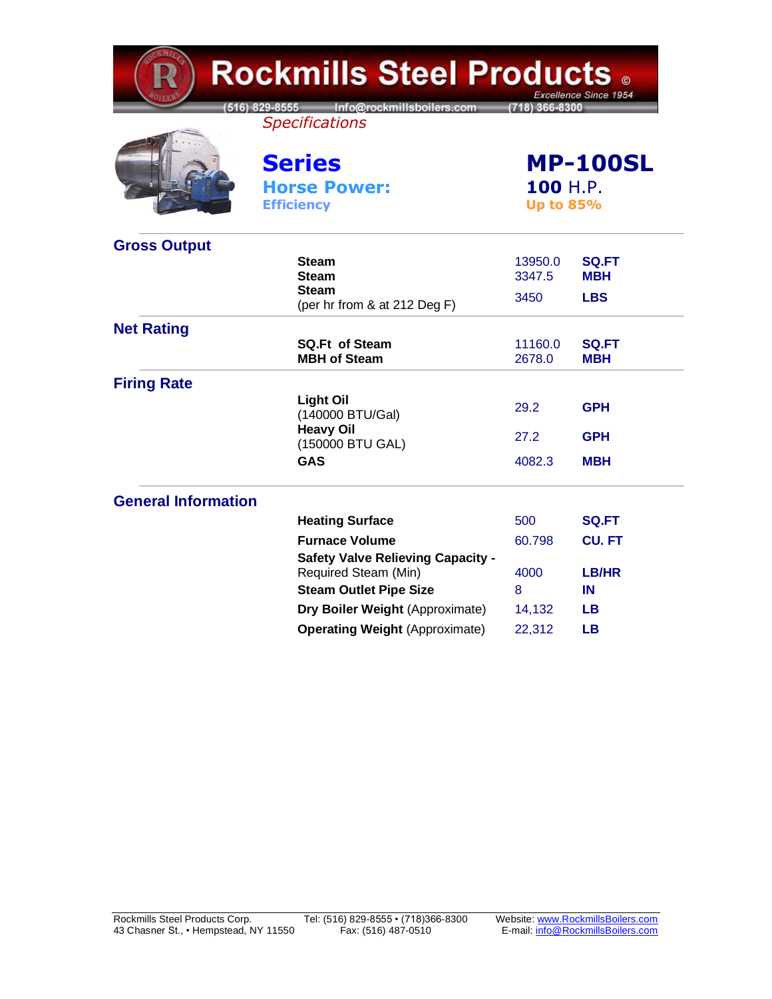| <b>Rockmills Steel Products .</b><br>Excellence Since 1954 |                                                                   |                                                 |                            |  |
|------------------------------------------------------------|-------------------------------------------------------------------|-------------------------------------------------|----------------------------|--|
|                                                            | [516] 829-8555 Info@rockmillsboilers.com<br><b>Specifications</b> | (718) 366-8300                                  |                            |  |
|                                                            | <b>Series</b><br><b>Horse Power:</b><br><b>Efficiency</b>         | <b>MP-100SL</b><br>100 H.P.<br><b>Up to 85%</b> |                            |  |
| <b>Gross Output</b>                                        |                                                                   |                                                 |                            |  |
|                                                            | <b>Steam</b><br><b>Steam</b>                                      | 13950.0<br>3347.5                               | <b>SQ.FT</b><br><b>MBH</b> |  |
|                                                            | <b>Steam</b><br>(per hr from & at 212 Deg F)                      | 3450                                            | <b>LBS</b>                 |  |
| <b>Net Rating</b>                                          |                                                                   |                                                 |                            |  |
|                                                            | <b>SQ.Ft of Steam</b><br><b>MBH of Steam</b>                      | 11160.0<br>2678.0                               | <b>SQ.FT</b><br><b>MBH</b> |  |
| <b>Firing Rate</b>                                         |                                                                   |                                                 |                            |  |
|                                                            | <b>Light Oil</b><br>(140000 BTU/Gal)                              | 29.2                                            | <b>GPH</b>                 |  |
|                                                            | <b>Heavy Oil</b><br>(150000 BTU GAL)                              | 27.2                                            | <b>GPH</b>                 |  |
|                                                            | <b>GAS</b>                                                        | 4082.3                                          | <b>MBH</b>                 |  |
| <b>General Information</b>                                 |                                                                   |                                                 |                            |  |
|                                                            | <b>Heating Surface</b>                                            | 500                                             | <b>SQ.FT</b>               |  |
|                                                            | <b>Furnace Volume</b>                                             | 60.798                                          | <b>CU.FT</b>               |  |
|                                                            | <b>Safety Valve Relieving Capacity -</b><br>Required Steam (Min)  | 4000                                            | LB/HR                      |  |
|                                                            | <b>Steam Outlet Pipe Size</b>                                     | 8                                               | IN                         |  |
|                                                            | Dry Boiler Weight (Approximate)                                   | 14,132                                          | <b>LB</b>                  |  |
|                                                            | <b>Operating Weight (Approximate)</b>                             | 22,312                                          | <b>LB</b>                  |  |

**COMPANY**